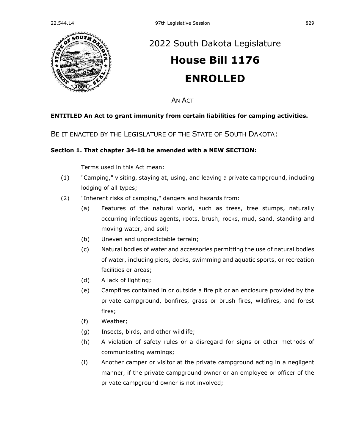

# [2022 South Dakota Legislature](https://sdlegislature.gov/Session/Bills/64) **[House Bill 1176](https://sdlegislature.gov/Session/Bill/23115) ENROLLED**

AN ACT

## **ENTITLED An Act to grant immunity from certain liabilities for camping activities.**

BE IT ENACTED BY THE LEGISLATURE OF THE STATE OF SOUTH DAKOTA:

## **Section 1. That chapter [34-18](https://sdlegislature.gov/Statutes?Statute=34-18) be amended with a NEW SECTION:**

Terms used in this Act mean:

- (1) "Camping," visiting, staying at, using, and leaving a private campground, including lodging of all types;
- (2) "Inherent risks of camping," dangers and hazards from:
	- (a) Features of the natural world, such as trees, tree stumps, naturally occurring infectious agents, roots, brush, rocks, mud, sand, standing and moving water, and soil;
	- (b) Uneven and unpredictable terrain;
	- (c) Natural bodies of water and accessories permitting the use of natural bodies of water, including piers, docks, swimming and aquatic sports, or recreation facilities or areas;
	- (d) A lack of lighting;
	- (e) Campfires contained in or outside a fire pit or an enclosure provided by the private campground, bonfires, grass or brush fires, wildfires, and forest fires;
	- (f) Weather;
	- (g) Insects, birds, and other wildlife;
	- (h) A violation of safety rules or a disregard for signs or other methods of communicating warnings;
	- (i) Another camper or visitor at the private campground acting in a negligent manner, if the private campground owner or an employee or officer of the private campground owner is not involved;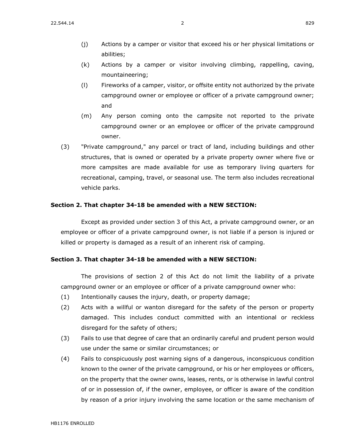- (j) Actions by a camper or visitor that exceed his or her physical limitations or abilities;
- (k) Actions by a camper or visitor involving climbing, rappelling, caving, mountaineering;
- (l) Fireworks of a camper, visitor, or offsite entity not authorized by the private campground owner or employee or officer of a private campground owner; and
- (m) Any person coming onto the campsite not reported to the private campground owner or an employee or officer of the private campground owner.
- (3) "Private campground," any parcel or tract of land, including buildings and other structures, that is owned or operated by a private property owner where five or more campsites are made available for use as temporary living quarters for recreational, camping, travel, or seasonal use. The term also includes recreational vehicle parks.

#### **Section 2. That chapter [34-18](https://sdlegislature.gov/Statutes?Statute=34-18) be amended with a NEW SECTION:**

Except as provided under section 3 of this Act, a private campground owner, or an employee or officer of a private campground owner, is not liable if a person is injured or killed or property is damaged as a result of an inherent risk of camping.

#### **Section 3. That chapter [34-18](https://sdlegislature.gov/Statutes?Statute=34-18) be amended with a NEW SECTION:**

The provisions of section 2 of this Act do not limit the liability of a private campground owner or an employee or officer of a private campground owner who:

- (1) Intentionally causes the injury, death, or property damage;
- (2) Acts with a willful or wanton disregard for the safety of the person or property damaged. This includes conduct committed with an intentional or reckless disregard for the safety of others;
- (3) Fails to use that degree of care that an ordinarily careful and prudent person would use under the same or similar circumstances; or
- (4) Fails to conspicuously post warning signs of a dangerous, inconspicuous condition known to the owner of the private campground, or his or her employees or officers, on the property that the owner owns, leases, rents, or is otherwise in lawful control of or in possession of, if the owner, employee, or officer is aware of the condition by reason of a prior injury involving the same location or the same mechanism of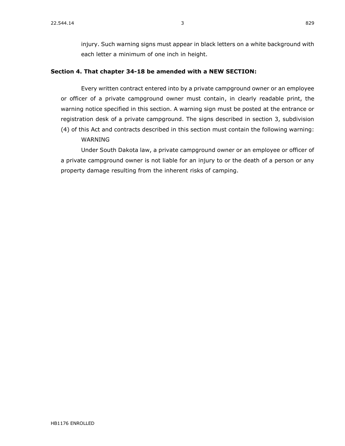injury. Such warning signs must appear in black letters on a white background with each letter a minimum of one inch in height.

### **Section 4. That chapter [34-18](https://sdlegislature.gov/Statutes?Statute=34-18) be amended with a NEW SECTION:**

Every written contract entered into by a private campground owner or an employee or officer of a private campground owner must contain, in clearly readable print, the warning notice specified in this section. A warning sign must be posted at the entrance or registration desk of a private campground. The signs described in section 3, subdivision (4) of this Act and contracts described in this section must contain the following warning:

WARNING

Under South Dakota law, a private campground owner or an employee or officer of a private campground owner is not liable for an injury to or the death of a person or any property damage resulting from the inherent risks of camping.